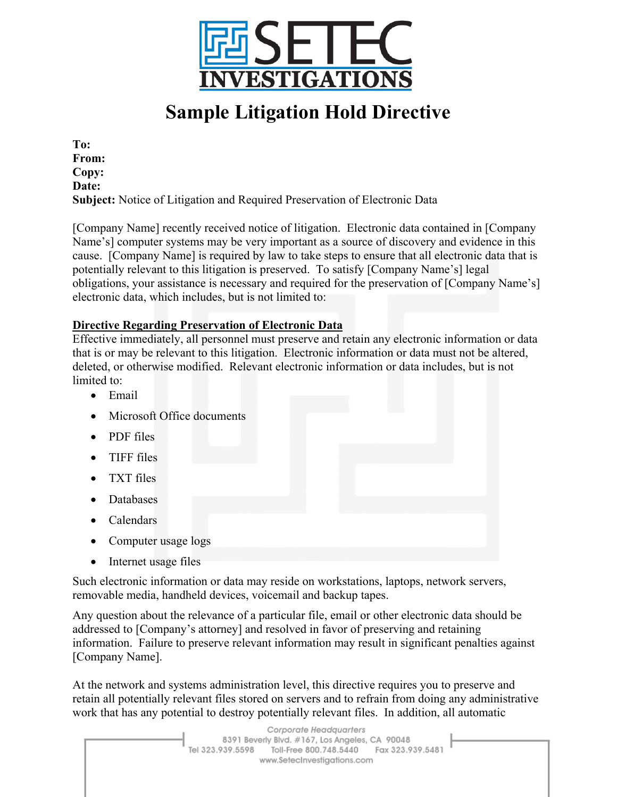

## **Sample Litigation Hold Directive**

**To: From: Copy: Date: Subject:** Notice of Litigation and Required Preservation of Electronic Data

[Company Name] recently received notice of litigation. Electronic data contained in [Company Name's] computer systems may be very important as a source of discovery and evidence in this cause. [Company Name] is required by law to take steps to ensure that all electronic data that is potentially relevant to this litigation is preserved. To satisfy [Company Name's] legal obligations, your assistance is necessary and required for the preservation of [Company Name's] electronic data, which includes, but is not limited to:

## **Directive Regarding Preservation of Electronic Data**

Effective immediately, all personnel must preserve and retain any electronic information or data that is or may be relevant to this litigation. Electronic information or data must not be altered, deleted, or otherwise modified. Relevant electronic information or data includes, but is not limited to:

- Email
- Microsoft Office documents
- PDF files
- TIFF files
- TXT files
- Databases
- Calendars
- Computer usage logs
- Internet usage files

Such electronic information or data may reside on workstations, laptops, network servers, removable media, handheld devices, voicemail and backup tapes.

Any question about the relevance of a particular file, email or other electronic data should be addressed to [Company's attorney] and resolved in favor of preserving and retaining information. Failure to preserve relevant information may result in significant penalties against [Company Name].

At the network and systems administration level, this directive requires you to preserve and retain all potentially relevant files stored on servers and to refrain from doing any administrative work that has any potential to destroy potentially relevant files. In addition, all automatic

> Corporate Headquarters 8391 Beverly Blvd. #167, Los Angeles, CA 90048 Tel 323.939.5598 Toll-Free 800.748.5440 Fax 323.939.5481 www.SetecInvestigations.com